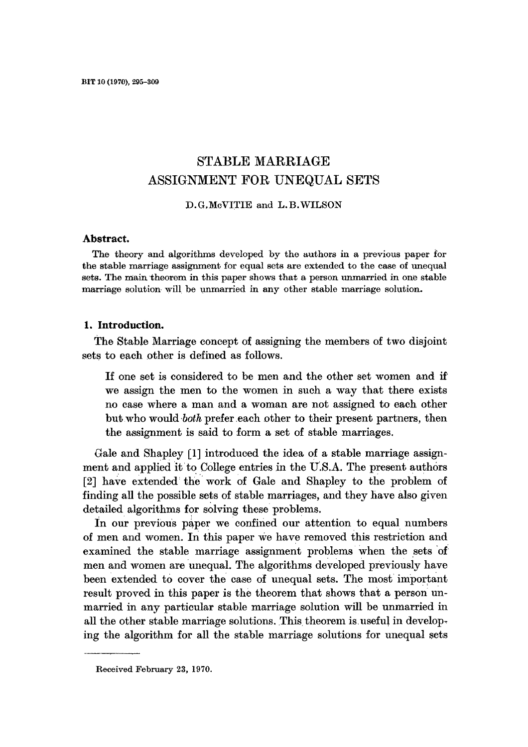# **STABLE MARRIAGE**  ASSIGNMENT FOR UNEQUAL SETS

D. G, McVITIE and L.B. WILSON

#### **Abstract.**

The theory and algorithms developed by the authors in a previous paper for the stable marriage assignment for equal sets are extended to the case of unequal sets. The main theorem in this paper shows that a person unmarried in one stable marriage solution will be unmarried in any other stable marriage solution.

#### **1. Introduction.**

The Stable Marriage concept of assigning the members of two disjoint sets to each other is defined as follows.

If one set is considered to be men and the other set women and if' we assign the men to the women in such a way that there exists no case where a man and a woman are not assigned to each other but who would *both* prefer each other to their present partners, then the assignment is said to form a set of stable marriages.

Gale and Shapley [1] introduced the idea of a stable marriage assignment and applied it to College entries in the U'.S.A. The present authors [2] have extended the work of Gale and Shapley to the problem of finding all the possible sets of stable marriages, and they have also given detailed algorithms for solving these problems.

In our previous paper we confined our attention to equal numbers of men and women. In this paper We have removed this restriction and examined the stable marriage assignment problems when the sets of men and women are unequal. The algorithms developed previously have been extended to cover the case of unequal sets. The most important result proved in this paper is the theorem that shows that a person unmarried in any particular stable marriage solution will be unmarried in all the other stable marriage solutions. This theorem is useful in developing the algorithm for all the stable marriage solutions for unequal sets

Received February 23, 1970.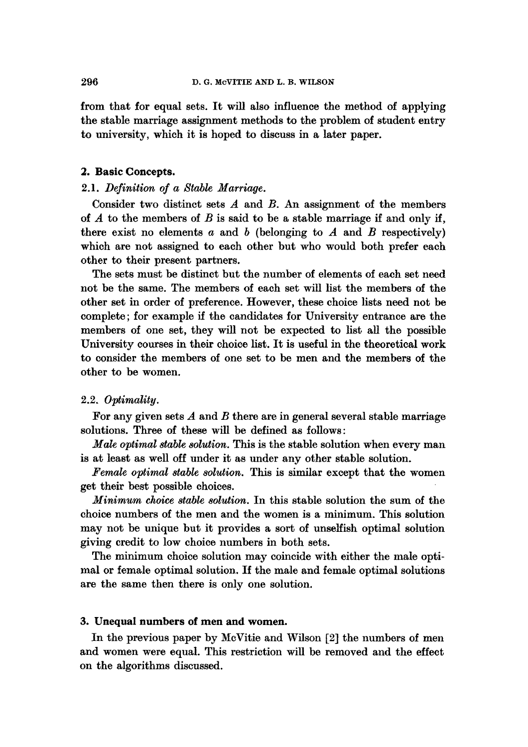from that for equal sets. It will also influence the method of applying the stable marriage assignment methods to the problem of student entry to university, which it is hoped to discuss in a later paper.

## **2. Basic Concepts.**

## 2.1. *Definition of a Stable Marriage.*

Consider two distinct sets  $A$  and  $B$ . An assignment of the members of  $A$  to the members of  $B$  is said to be a stable marriage if and only if, there exist no elements  $a$  and  $b$  (belonging to  $A$  and  $B$  respectively) which are not assigned to each other but who would both prefer each other to their present partners.

The sets must be distinct but the number of elements of each set need not be the same. The members of each set will list the members of the other set in order of preference. However, these choice lists need not be complete; for example if the candidates for University entrance are the members of one set, they will not be expected to list all the possible University courses in their choice list. It is useful in the theoretical work to consider the members of one set to be men and the members of the other to be women.

#### 2.2. *Optimality.*

For any given sets  $A$  and  $B$  there are in general several stable marriage solutions. Three of these will be defined as follows:

*Male optimal stable solution.* This is the stable solution when every man is at least as well off under it as under any other stable solution.

*Female optimal stable solution.* This is similar except that the women get their best possible choices.

*Minimum choice stable solution.* In this stable solution the sum of the choice numbers of the men and the women is a minimum. This solution may not be unique but it provides a sort of unselfish optimal solution giving credit to low choice numbers in both sets.

The minimum choice solution may coincide with either the male optimal or female optimal solution. If the male and female optimal solutions are the same then there is only one solution.

### **3. Unequal numbers of men and women.**

In the previous paper by McVitie and Wilson [2] the numbers of men and women were equal. This restriction will be removed and the effect on the algorithms discussed.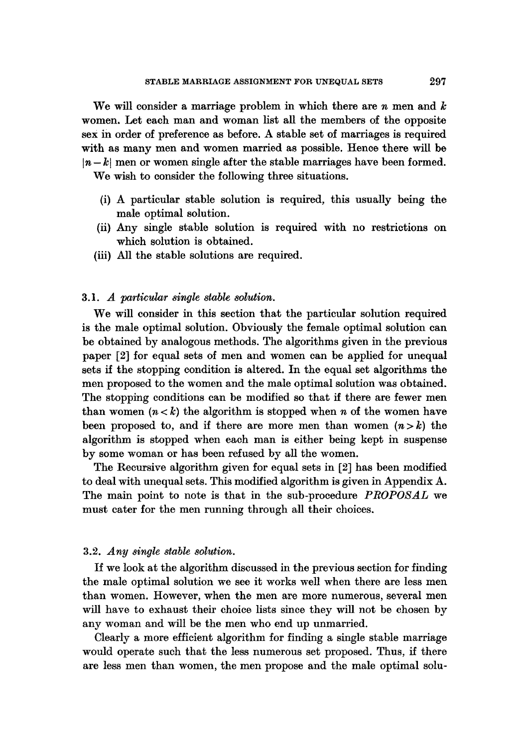We will consider a marriage problem in which there are  $n$  men and  $k$ women. Let each man and woman list all the members of the opposite sex in order of preference as before. A stable set of marriages is required with as many men and women married as possible. Hence there will be  $|n - k|$  men or women single after the stable marriages have been formed.

We wish to consider the following three situations.

- (i) A particular stable solution is required, this usually being the male optimal solution.
- (ii) Any single stable solution is required with no restrictions on which solution is obtained.
- (iii) All the stable solutions are required.

## 3.1. *A particular single stable solution.*

We will consider in this section that the particular solution required is the male optimal solution. Obviously the female optimal solution can be obtained by analogous methods. The algorithms given in the previous paper [2] for equal sets of men and women can be applied for unequal sets if the stopping condition is altered. In the equal set algorithms the men proposed to the women and the male optimal solution was obtained. The stopping conditions can be modified so that if there are fewer men than women  $(n < k)$  the algorithm is stopped when n of the women have been proposed to, and if there are more men than women  $(n > k)$  the algorithm is stopped when each man is either being kept in suspense by some woman or has been refused by all the women.

The Recursive algorithm given for equal sets in [2] has been modified to deal with unequal sets. This modified algorithm is given in Appendix A. The main point to note is that in the sub-procedure *PROPOSAL* we must cater for the men running through all their choices.

#### 3.2. *Any single stable solution.*

If we look at the algorithm discussed in the previous section for finding the male optimal solution we see it works well when there are less men than women. However, when the men are more numerous, several men will have to exhaust their choice lists since they will not be chosen by any woman and wilt be the men who end up unmarried.

Clearly a more efficient algorithm for finding a single stable marriage would operate such that the less numerous set proposed. Thus, if there are less men than women, the men propose and the male optimal solu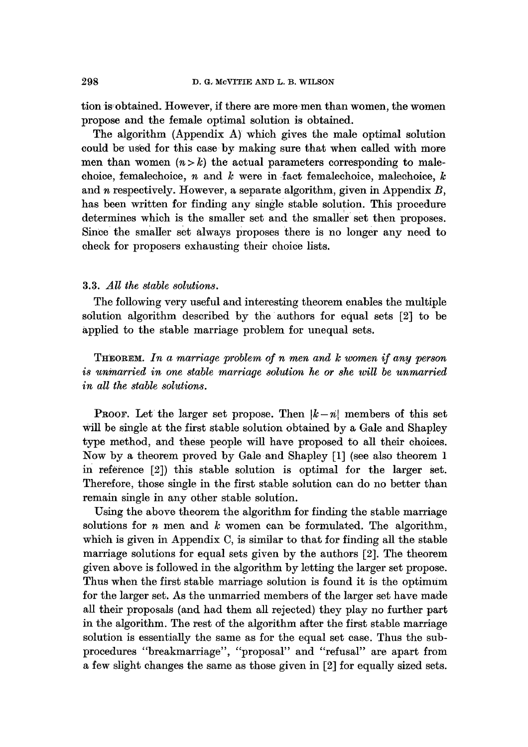tion is obtained. However, if there are more men than women, the women propose and the female optimal solution is obtained.

The algorithm (Appendix A) which gives the male optimal solution could be used for this case by making sure that when called with more men than women  $(n > k)$  the actual parameters corresponding to malechoice, femalechoice,  $n$  and  $k$  were in fact femalechoice, malechoice,  $k$ and  $n$  respectively. However, a separate algorithm, given in Appendix  $B$ , has been written for finding any single stable solution. This procedure determines which is the smaller set and the smaller set then proposes. Since the smaller set always proposes there is no longer any need to check for proposers exhausting their choice lists.

#### 3.3. *All the stable solutions.*

The following very useful and interesting theorem enables the multiple solution algorithm described by the authors for equal sets [2] to be applied to the stable marriage problem for unequal sets.

THEOREM. *In a marriage problem of n men and l¢ women if any person is unmarried in one stable marriage solution he or she will be unmarried in all the stable solutions.* 

**PROOF.** Let the larger set propose. Then  $|k-n|$  members of this set will be single at the first stable solution obtained by a Gale and Shapley type method, and these people will have proposed to all their choices. Now by a theorem proved by Gale and Shapley [I] (see also theorem 1 in reference [2]) this stable solution is optimal for the larger set. Therefore, those single in the first stable solution can do no better than remain single in any other stable solution.

Using the above theorem the algorithm for finding the stable marriage solutions for  $n$  men and  $k$  women can be formulated. The algorithm, which is given in Appendix C, is similar to that for finding all the stable marriage solutions for equal sets given by the authors [2]. The theorem given above is followed in the algorithm by letting the larger set propose. Thus when the first stable marriage solution is found it is the optimum for the larger set. As the unmarried members of the larger set have made all their proposals (and had them all rejected) they play no further part in the algorithm. The rest of the algorithm after the first stable marriage solution is essentially the same as for the equal set case. Thus the subprocedures "breakmarriage", "proposal" and "refusal" are apart from a few slight changes the same as those given in [2] for equally sized sets.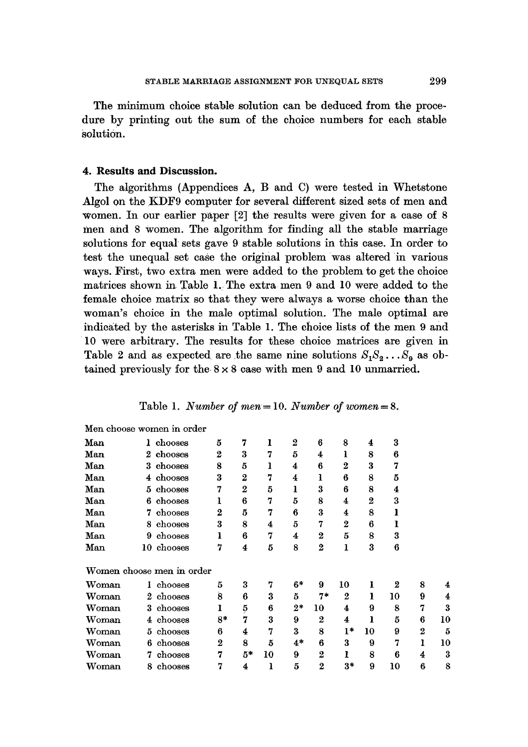The minimum choice stable solution can be deduced from the procedure by printing out the sum of the choice numbers for each stable solution.

### **4. Results and Discussion.**

The algorithms (Appendices A, B and C) were tested in Whetstone Algol on the KDF9 computer for several different sized sets of men and women. In our earlier paper [2] the results were given for a case of 8 men and 8 women. The algorithm for finding all the stable marriage solutions for equal sets gave 9 stable solutions in this case. In order to test the unequal set case the original problem was altered in various ways. First, two extra men were added to the problem to get the choice matrices shown in Table 1. The extra men 9 and 10 were added to the female choice matrix so that they were always a worse choice than the woman's choice in the male optimal solution. The male optimal are indicated by the asterisks in Table 1. The choice lists of the men 9 and 10 were arbitrary. The results for these choice matrices are given in Table 2 and as expected are the same nine solutions  $S_1S_2...S_9$  as obtained previously for the  $8 \times 8$  case with men 9 and 10 unmarried.

|    | chooses | 5                                                                                                                                                                       | 7              | ı              | $\boldsymbol{2}$ | 6                | 8                | $\overline{\bf 4}$ | 3                |                  |    |
|----|---------|-------------------------------------------------------------------------------------------------------------------------------------------------------------------------|----------------|----------------|------------------|------------------|------------------|--------------------|------------------|------------------|----|
|    |         | $\boldsymbol{2}$                                                                                                                                                        | 3              | 7              | 5                | 4                | ı                | 8                  | ß                |                  |    |
|    | chooses | 8                                                                                                                                                                       | 5              | ı              | 4                | 6                | $\bf{2}$         | 3                  | 7                |                  |    |
|    | chooses | 3                                                                                                                                                                       | 2              | 7              | 4                | ı                | 6                | 8                  | 5                |                  |    |
|    | chooses | 7                                                                                                                                                                       | $\overline{2}$ | 5              | ı                | 3                | 6                | 8                  | 4                |                  |    |
|    | chooses | ı                                                                                                                                                                       | 6              | 7              | 5                | 8                | 4                | 2                  | 3                |                  |    |
| 7  | chooses | $\bf{2}$                                                                                                                                                                | 5              | 7              | 6                | 3                | 4                | 8                  |                  |                  |    |
| 8. | chooses | 3                                                                                                                                                                       | 8              | 4              | 5                | 7                | 2                | 6                  |                  |                  |    |
| 9  | chooses | ı                                                                                                                                                                       | 6              | 7              | 4                | $\boldsymbol{2}$ | 5                | 8                  | 3                |                  |    |
|    |         | 7                                                                                                                                                                       | 4              | 5              | 8                | $\boldsymbol{2}$ | ı                | 3                  | 6                |                  |    |
|    |         |                                                                                                                                                                         |                |                |                  |                  |                  |                    |                  |                  |    |
|    |         | 5                                                                                                                                                                       | 3              | 7              | $6*$             | 9                | 10               | ı                  | $\boldsymbol{2}$ | 8                | 4  |
|    |         | 8                                                                                                                                                                       | 6              | 3              | 5                | $7*$             | $\boldsymbol{2}$ | ı                  | 10               | 9                | 4  |
|    |         | I                                                                                                                                                                       |                | 6              | $2*$             | 10               | 4                | 9                  | 8                | 7                | 3  |
|    |         | $8*$                                                                                                                                                                    | 7              | 3              | 9                | $\boldsymbol{2}$ | 4                | ı                  | 5                | 6                | 10 |
|    | chooses | 6                                                                                                                                                                       | 4              | 7              | 3                | 8                | l*               | 10                 | 9                | $\boldsymbol{2}$ | 5  |
| 6  | chooses | 2                                                                                                                                                                       | 8              | 5              | $4*$             | 6                | 3                | 9                  | 7                | ı                | 10 |
|    | chooses | 7                                                                                                                                                                       | 5*             | 10             | 9                | $\overline{2}$   | ı                | 8                  | 6                | 4                | 3  |
| 8  | chooses | 7                                                                                                                                                                       | 4              | ı              | 5                | $\bf{2}$         | $3*$             | 9                  | 10               | 6                | 8  |
|    |         | Men choose women in order<br>1<br>2 chooses<br>3.<br>4<br>5.<br>6.<br>10 chooses<br>Women choose men in order<br>1 chooses<br>2 chooses<br>3 chooses<br>4 chooses<br>5. |                | $\overline{5}$ |                  |                  |                  |                    |                  |                  |    |

Table 1. *Number of men=* 10. *Number of women = S.*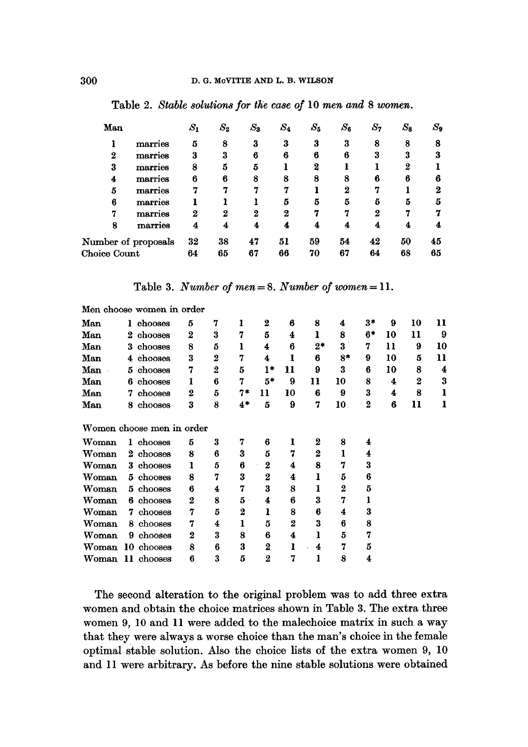| Man                 |         | $S_1$ | $S_{2}$ | $S_3$ | $\mathcal{S}_4$ | $S_5$ | $S_{\bf 6}$ | $S_7$ | $S_{\bf 3}$ | $S_9$ |
|---------------------|---------|-------|---------|-------|-----------------|-------|-------------|-------|-------------|-------|
|                     | marries | 5     | 8       | 3     | 3               | 3     | 3           | 8     | 8           | 8     |
| $\bf{2}$            | marries | 3     | 3       | 6     | 6               | 6     | 6           | 3     |             |       |
| 3                   | marries | 8     | 5       | 5     |                 | 2     |             |       | 2           |       |
| 4                   | marries | 6     | 6       | 8     | 8               | 8     | 8           | в     | 6           |       |
| 5                   | marries |       |         |       |                 |       | 2           | r,    |             |       |
| 6                   | marries |       |         |       | 5               | 5     | 5           | 5     | 5           | ñ     |
| 7                   | marries | 2     | 2       | 2     | 2               | 7     | 7           | 2     |             |       |
| 8                   | marries | 4     | 4       |       | 4               |       | 4           |       |             |       |
| Number of proposals |         | 32    | 38      | 47    | 51              | 59    | 54          | 42    | 50          | 45    |
| Choice Count        |         | 64    | 65      | 67    | 66              | 70    | 67          | 64    | 68          | 65    |

Table 2. *Stable solutions for the case of* 10 men and 8 women.

Table 3. *Number of men = 8. Number of women = 11.* 

|       | Men choose women in order |                |                |                  |                  |                |                  |                  |          |    |          |    |
|-------|---------------------------|----------------|----------------|------------------|------------------|----------------|------------------|------------------|----------|----|----------|----|
| Man   | chooses<br>1.             | 5              | 7              | 1                | 2                | 6              | 8                | 4                | 3*       | 9  | 10       | 11 |
| Man   | chooses<br>2              | $\overline{2}$ | 3              | 7                | 5                | 4              | ı                | 8                | 6*       | 10 | 11       | 9  |
| Man   | chooses<br>3              | 8              | 5              | 1                | 4                | 6              | $2*$             | 3                | 7        | 11 | 9        | 10 |
| Man   | chooses<br>4              | 3              | 2              | 7                | 4                | 1              | 6                | $8*$             | 9        | 10 | 5        | 11 |
| Man   | chooses<br>5.             | 7              | $\overline{2}$ | 5                | ł*               | 11             | 9                | 3                | 6        | 10 | 8        | 4  |
| Man   | chooses<br>6              | ı              | 6              | 7                | 5*               | 9              | 11               | 10               | 8        | 4  | $\bf{2}$ | 3  |
| Man   | chooses<br>7              | 2              | 5              | 7*               | 11               | 10             | 6                | 9                | 3        | 4  | 8        | ı  |
| Man   | chooses<br>8              | 3              | 8              | $4*$             | 5                | 9              | 7                | 10.              | $\bf{2}$ | 6  | 11       | ı  |
|       | Women choose men in order |                |                |                  |                  |                |                  |                  |          |    |          |    |
| Woman | 1 chooses                 | 5              | 3              | 7                | 6                | ı              | 2                | 8                | 4        |    |          |    |
| Woman | 2 chooses                 | 8              | 6              | 3                | 5                | 7              | $\boldsymbol{2}$ | 1                | 4        |    |          |    |
| Woman | chooses<br>3.             | ı              | 5              | 6                | $\boldsymbol{2}$ | 4              | 8                | 7                | 3        |    |          |    |
| Woman | 5 chooses                 | 8              | 7              | 3                | $\bf{2}$         | 4              | ı                | -5               | 6        |    |          |    |
| Woman | $5$ chooses               | 6              | 4              | 7                | 3                | 8              | ı                | $\boldsymbol{2}$ | 5        |    |          |    |
| Woman | chooses<br>6.             | 2              | 8              | 5                | 4                | 6              | 3                | -7               | ı        |    |          |    |
| Woman | chooses<br>7              | 7              | 5              | $\boldsymbol{2}$ | ı                | 8              | 6                | 4                | 3        |    |          |    |
| Woman | chooses<br>8.             | 7              | 4              | 1                | 5                | $\overline{2}$ | 3                | 6                | 8        |    |          |    |
| Woman | chooses<br>9.             | 2              | 3              | 8                | 6                | 4              | ı                | 5                | 7        |    |          |    |
| Woman | 10 chooses                | 8              | 6              | 3                | $\bf{2}$         | 1              | 4                | 7                | 5        |    |          |    |
| Woman | 11 chooses                | 6              | 3              | 5                | 2                | 7              | ı                | 8                | 4        |    |          |    |

The second alteration to the original problem was to add three extra women and obtain the choice matrices shown in Table 3. The extra three women 9, 10 and 11 were added to the malechoice matrix in such a way that they were always a worse choice than the man's choice in the female optimal stable solution. Also the choice lists of the extra women 9, 10 and 11 were arbitrary. As before the nine stable solutions were obtained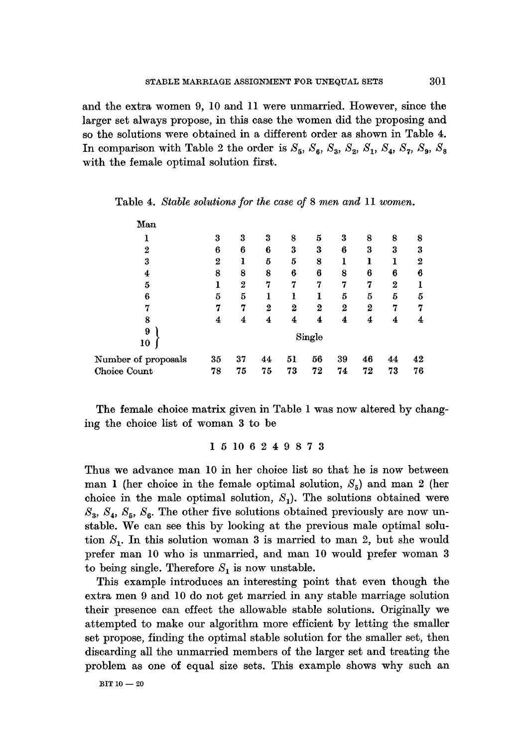and the extra women 9, 10 and 11 were unmarried. However, since the larger set always propose, in this case the women did the proposing and so the solutions were obtained in a different order as shown in Table 4. In comparison with Table 2 the order is  $S_5$ ,  $S_6$ ,  $S_3$ ,  $S_2$ ,  $S_1$ ,  $S_4$ ,  $S_7$ ,  $S_9$ ,  $S_8$ with the female optimal solution first.

| Man                 |          |    |                |                  |        |    |                  |                  |    |
|---------------------|----------|----|----------------|------------------|--------|----|------------------|------------------|----|
|                     | 3        | 3  | 3              | 8                | 5      | 3  | 8                | 8                | 8  |
| $\overline{2}$      | 6        | 6  | 6              | 3                | 3      | 6  | 3                | 3                | 3  |
| 3                   | $\bf{2}$ | ı  | 5              | 5                | 8      | 1  |                  |                  | 2  |
| 4                   | 8        | 8  | 8              | 6                | 6      | 8  | 6                | 6                | 6  |
| 5                   |          | 2  | 7              | 7                | 7      | 7  | 7                | $\boldsymbol{2}$ |    |
| 6                   | 5        | 5  | ı              |                  |        | 5  | 5                | 5                | 5  |
| 7                   | 7        | 7  | $\overline{2}$ | $\boldsymbol{2}$ | 2      | 2  | $\boldsymbol{2}$ | 7                | 7  |
| 8                   | 4        | 4  | 4              | 4                | 4      | 4  | 4                | 4                | 4  |
| 9<br>10             |          |    |                |                  | Single |    |                  |                  |    |
| Number of proposals | 35       | 37 | 44             | 51               | 56     | 39 | 46               | 44               | 42 |
| Choice Count        | 78       | 75 | 75             | 73               | 72     | 74 | 72               | 73               | 76 |

|  |  |  |  | Table 4. Stable solutions for the case of 8 men and $11$ women. |  |  |  |  |  |  |  |  |  |
|--|--|--|--|-----------------------------------------------------------------|--|--|--|--|--|--|--|--|--|
|--|--|--|--|-----------------------------------------------------------------|--|--|--|--|--|--|--|--|--|

The female choice matrix given in Table 1 was now altered by changing the choice list of woman 3 to be

#### 15106249873

Thus we advance man 10 in her choice list so that he is now between man 1 (her choice in the female optimal solution,  $S_5$ ) and man 2 (her choice in the male optimal solution,  $S_1$ ). The solutions obtained were  $S_3$ ,  $S_4$ ,  $S_5$ ,  $S_6$ . The other five solutions obtained previously are now unstable. We can see this by looking at the previous male optimal solution  $S_1$ . In this solution woman 3 is married to man 2, but she would prefer man 10 who is unmarried, and man 10 would prefer woman 3 to being single. Therefore  $S_1$  is now unstable.

This example introduces an interesting point that even though the extra men 9 and 10 do not get married in any stable marriage solution their presence can effect the allowable stable solutions. Originally we attempted to make our algorithm more efficient by letting the smaller set propose, finding the optimal stable solution for the smaller set, then discarding all the unmarried members of the larger set and treating the problem as one of equal size sets. This example shows why such an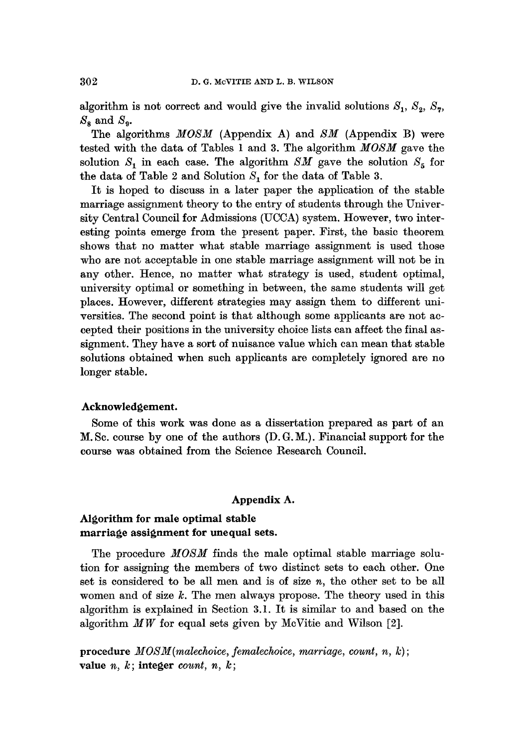algorithm is not correct and would give the invalid solutions  $S_1$ ,  $S_2$ ,  $S_7$ ,  $S_8$  and  $S_9$ .

The algorithms *MOSM* (Appendix A) and *SM* (Appendix B) were tested with the data of Tables 1 and 3. The algorithm *MOSM* gave the solution  $S_1$  in each case. The algorithm *SM* gave the solution  $S_5$  for the data of Table 2 and Solution  $S<sub>1</sub>$  for the data of Table 3.

It is hoped to discuss in a later paper the application of the stable marriage assignment theory to the entry of students through the University Central Council for Admissions (UCCA) system. However, two interesting points emerge from the present paper. First, the basic theorem shows that no matter what stable marriage assignment is used those who are not acceptable in one stable marriage assignment will not be in any other. Hence, no matter what strategy is used, student optimal, university optimal or something in between, the same students will get places. However, different strategies may assign them to different universities. The second point is that although some applicants are not accepted their positions in the university choice lists can affect the final assignment. They have a sort of nuisance value which can mean that stable solutions obtained when such applicants are completely ignored are no longer stable.

#### **Acknowledgement.**

Some of this work was done as a dissertation prepared as part of an M. Sc. course by one of the authors (D. G. M.). Financial support for the course was obtained from the Science Research Council.

#### **Appendix A.**

## **Algorithm for male optimal stable marriage assignment for unequal sets.**

The procedure *MOSM* finds the male optimal stable marriage solution for assigning the members of two distinct sets to each other. One set is considered to be all men and is of size  $n$ , the other set to be all women and of size  $k$ . The men always propose. The theory used in this algorithm is explained in Section 3.1. It is similar to and based on the algorithm *MW* for equal sets given by McVitie and Wilson [2].

procedure  $MOSM(malechoice, femalechoice, marriage, count, n, k);$ value  $n, k$ ; integer *count*,  $n, k$ ;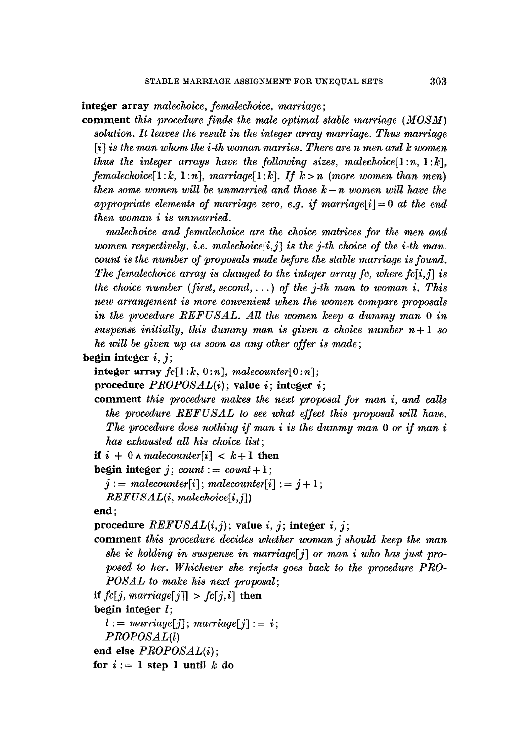**integer** array *malechoice, femalechoice, marriage;* 

comment *this procedure finds the male optimal stable marriage (MOSM) solution. It leaves the result in the integer array marriage. Thus marriage*  [i] *is the man whom the i-th woman marries. There are n men and k women thus the integer arrays have the following sizes, malechoice* $[1:n, 1:k]$ , *femalechoice*[1: $k$ , 1: $n$ ], *marriage*[1: $k$ ]. *If*  $k > n$  (*more women than men*) *then some women will be unmarried and those k- n women will have the appropriate elements of marriage zero, e.g. if marriage[i]* = 0 *at the end then woman i is unmarried.* 

*malechoice and femalechoice are the choice matrices for the men and women respectively, i.e. malechoice* $[i, j]$  *is the j-th choice of the i-th man. count is the number of proposals made before the stable marriage is found. The femalechoice array is changed to the integer array fc, where fc[i,j] is the choice number (first, second,...) of the j-th man to woman i. This new arrangement is more convenient when the women compare proposals in the procedure REFUSAL. All the women keep a dummy man 0 in*  suspense initially, this dummy man is given a choice number  $n+1$  so *he will be given up as soon as any other offer is made;* 

**begin integer i, j;** 

**integer**  $array$   $fc[1:k, 0:n]$ ,  $malecounter[0:n]$ ;

procedure *PROPOSAL(i);* value i; **integer** i;

- comment *this procedure makes the next proposal for man i, and calls the procedure REFUSAL to see what effect this proposal will have. The procedure does nothing if man i is the dummy man 0 or if man i has exhausted all his choice list;*
- *if*  $i \neq 0$  *^ malecounter*[*i*]  $\lt k+1$  then
- **begin integer**  $j$ ;  $count := count + 1$ ;
	- $j := malecounter[i]; malecounter[i] := j+1;$

*REFUSAL(i, malechoice[i,j])* 

**end;** 

```
procedure REFUSAL(i,j); value i, j; integer i, j;
```
comment *this procedure decides whether woman j should keep the man she is holding in suspense in marriage[j] or man i who has just proposed to her. Whichever she rejects goes back to the procedure PRO-POSAL to malce his next proposal;* 

*if fc[j, marriage[j]]* >  $fc[j,i]$  then

**begin integer** l;

```
l := \text{ marriage}[j]; \text{ marriage}[j] := i;
```
*PROPOSAL(l)* 

**end** else *PROPOSAL(i);* 

for  $i := 1$  step 1 until k do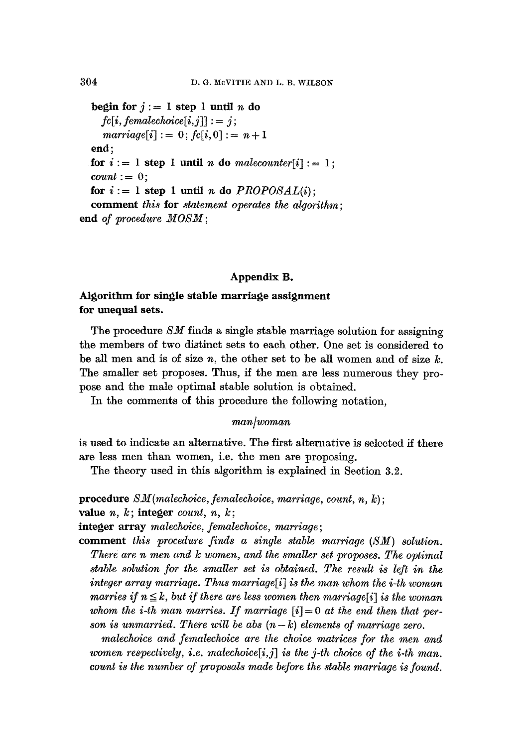**begin for**  $j := 1$  step 1 until *n* do  $fc[i, femalechoice[i,j]] := j;$  $\textit{marriage}[i] := 0; f_{i}[i, 0] := n + 1$ **end; for**  $i := 1$  step 1 until *n* do *malecounter*[i] := 1;  $count := 0;$ for  $i := 1$  step 1 until *n* do  $PROPOSAL(i)$ ; **comment** *this* **for** *statement operates the algorithm;*  **end** *of procedure MOSM ;* 

## **Appendix B.**

## **Algorithm for single stable marriage assignment for unequal sets.**

The procedure *SM* finds a single stable marriage solution for assigning the members of two distinct sets to each other. One set is considered to be all men and is of size  $n$ , the other set to be all women and of size  $k$ . The smaller set proposes. Thus, if the men are less numerous they propose and the male optimal stable solution is obtained.

In the comments of this procedure the following notation,

#### *man/woman*

is used to indicate an alternative. The first alternative is selected if there are less men than women, i.e. the men are proposing.

The theory used in this algorithm is explained in Section 3.2.

**procedure** *SM (malechoice, femalechoice, marriage, count, n,* k);

value n, k; **integer** *count, n, k;* 

**integer array** *malechoice, femalechoice, marriage;* 

**comment** *this procedure finds a single stable marriage (SM) solution. There are n men and k women, and the smaller set proposes. The optimal stable solution ]'or the smaller set is obtained. The result is left in the*  integer array marriage. Thus marriage<sup>[i]</sup> is the man whom the *i*-th woman *marries if*  $n \leq k$ , but if there are less women then marriage[i] is the woman whom the *i-th* man marries. If marriage  $[i] = 0$  at the end then that per*son is unmarried. There will be abs*  $(n-k)$  *elements of marriage zero.* 

*malechoice and femalechoice are the choice matrices for the men and women respectively, i.e. malechoice[i,j] is the j-th choice of the i-th man. count is the number of proposals made before the stable marriage is found.*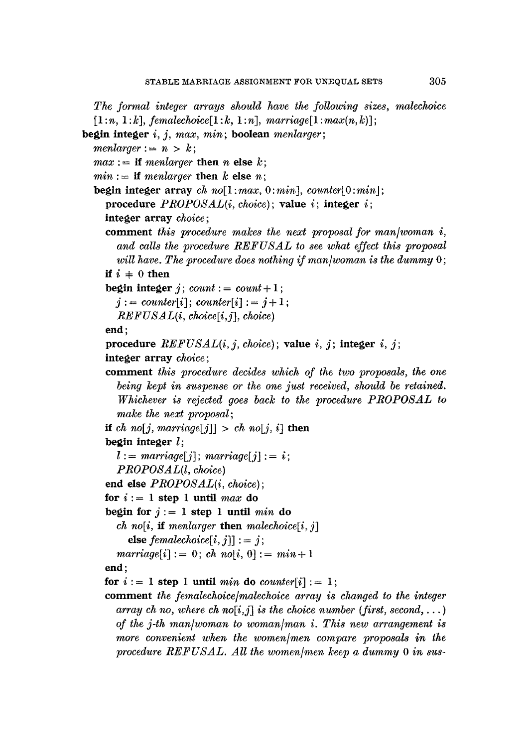The formal integer arrays should have the following sizes, malechoice  $[1:n, 1:k]$ ,  $f$ *emalechoice* $[1:k, 1:n]$ ,  $\text{marriage}[1:\text{max}(n,k)]$ ;

```
begin integer i, j, max, rain; boolean menlarger ;
```
 $m$ *enlarger* :=  $n > k$ ;

 $max :=$  if menlarger then n else k;

 $min :=$  if menlarger then k else n;

begin integer array  $ch$   $no[1:max, 0:min]$ ,  $counter[0:min]$ ; procedure *PROPOSAL(i, choice);* value i; integer i;

```
integer array choice;
```
comment *this procedure makes the next proposal for man/woman i, and calls the procedure REFUSAL to see what effect this proposal will hove. The procedure does nothing if man/woman is the dummy* O;

**if**  $i = 0$  then

begin integer j;  $count := count + 1$ ;

$$
j := counter[i]; counter[i] := j+1;
$$

*REFUSAL(i, ehoiee[i,j], choice)* 

end;

```
procedure REFUSAL(i, j, choice); value i, j; integer i, j;
```

```
integer array choice;
```
- comment *this procedure decides which of the two proposals, the one being kept in suspense or the one just received, should be retained. Whichever is rejected goes back to the procedure PROPOSAL to malce the next proposal;*
- if *ch* no[j, marriage[j]] > *ch* no[j, i] **then**

**begin integer** l;

 $l := \text{ marriage}[j]; \text{ marriage}[j] := i;$ 

*PROPOSAL(l, choice)* 

end else *PROPOSAL(i, choice);* 

for  $i := 1$  step 1 until *max* do

begin for  $j := 1$  step 1 until *min* do

*ch* no[i, if menlarger **then** malechoice[i, j]

else  $female choice[i, j]$ ] : = j;

 $\textit{marriage}[i]:= 0; \textit{ch no}[i, 0]:= \textit{min} + 1$ 

**end;** 

```
for i := 1 step 1 until min do counter[i] : = 1;
```
comment *the femalechoice/malechoice array is changed to the integer array ch no, where ch no[i,j] is the choice number (first, second,...) of the j-th man/woman to woman/man i. This new arrangement is more convenient when the women/men compare proposals in the*  procedure REFUSAL. All the women/men keep a dummy 0 in sus-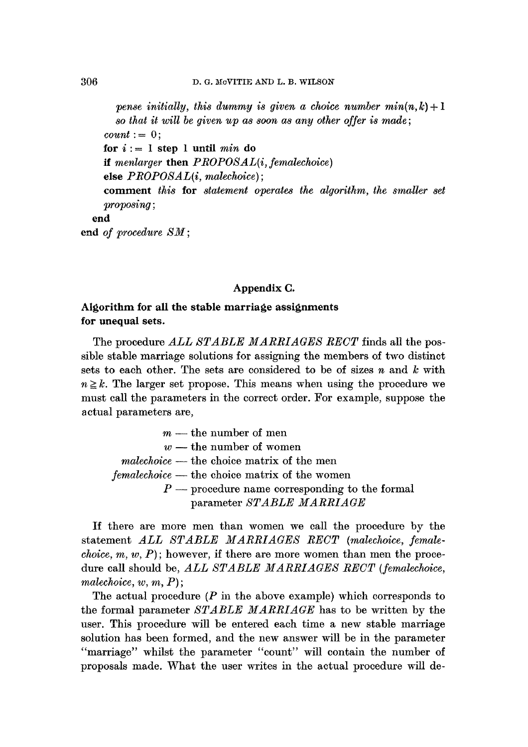*pense initially, this dummy is given a choice number*  $min(n, k) + 1$ *so that it will be given up as soon as any other offer is made;*   $count := 0$ :  $$ **if** *menlarger* **then** *PROPOSAL(i, femalechoice)*  **else** *PROPOSAL(i, malechoice) ;*  **comment** *this* **for** *statement operates the algorithm, the smaller set proposing;*  **end end** *of procedure SM ;* 

#### **Appendix C.**

## **Algorithm for all the stable marriage assignments for unequal sets.**

The procedure *ALL STABLE MARRIAGES RECT* finds all the possible stable marriage solutions for assigning the members of two distinct sets to each other. The sets are considered to be of sizes  $n$  and  $k$  with  $n \geq k$ . The larger set propose. This means when using the procedure we must call the parameters in the correct order. For example, suppose the actual parameters are,

 $m$  — the number of men  $w$  -- the number of women *malechoice --* the choice matrix of the men *femalechoice --* the choice matrix of the women  $P$  -- procedure name corresponding to the formal parameter *STABLE MARRIAGE* 

If there are more men than women we call the procedure by the statement *ALL STABLE MARRIAGES RECT (malechoice, femalechoice, m, w, P*); however, if there are more women than men the procedure call should be, *ALL STABLE MARRIAGES RECT (femalechoice, malechoice, w, m,* P);

The actual procedure  $(P \text{ in the above example})$  which corresponds to the formal parameter *STABLE MARRIAGE* has to be written by the user. This procedure will be entered each time a new stable marriage solution has been formed, and the new answer will be in the parameter "marriage" whilst the parameter "count" will contain the number of proposals made. What the user writes in the actual procedure will de-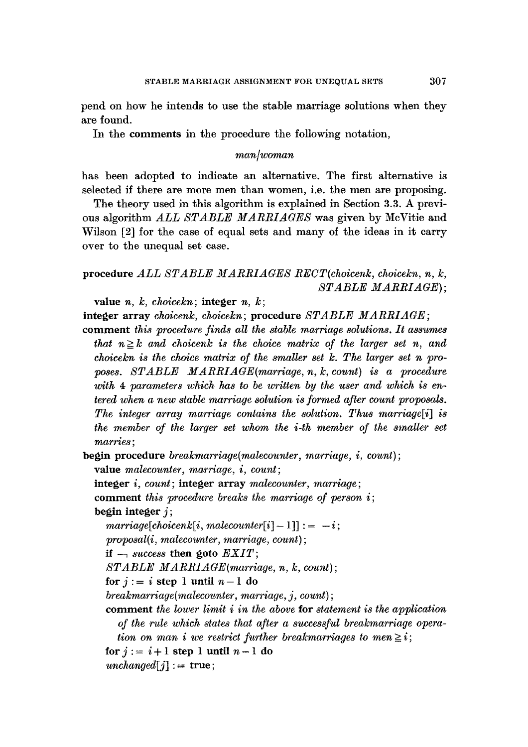pend on how he intends to use the stable marriage solutions when they are found.

In the comments in the procedure the following notation,

#### *man/woman*

has been adopted to indicate an alternative. The first alternative is selected if there are more men than women, i.e. the men are proposing.

The theory used in this algorithm is explained in Section 3.3. A previous algorithm *ALL STABLE MARRIAGES* was given by McVitie and Wilson [2] for the case of equal sets and many of the ideas in it carry over to the unequal set case.

## **procedure** *ALL STABLE MARRIAGES RECT(choicenk, choicekn, n, k, STABLE MARRIAGE) ;*

value *n, k, choicekn;* integer n, k;

 $i$ nteger array *choicenk, choicekn;* procedure *STABLE MARRIAGE;* 

comment *this procedure finds all the stable marriage solutions. It assumes that*  $n \geq k$  *and choicenk is the choice matrix of the larger set n, and choicekn is the choice matrix of the smaller set k. The larger set n pro*poses. STABLE MARRIAGE(marriage, n, k, count) is a procedure *with 4 parameters which has to be written by the user and which is entered when a new stable marriage solution is formed after count proposals. The integer array marriage contains the solution. Thus marriage[i] is the member of the larger set whom the i-th member of the smaller set marries;* 

**begin** procedure *breakmarriage(malecounter, marriage, i, count);* 

value *malecounter, marriage, i, count;* 

**integer** *i, count;* integer array *malecounter, marriage;* 

comment *this procedure breaks the marriage of person i;*  **begin integer j;** 

 $marriage[choicenk[i, malecounter[i] - 1]] := -i;$ *proposal(i, malecounter, marriage, count);* 

**if**  $\rightarrow$  *success* then goto  $EXIT$ ;

*STABLE MARRIAGE(marriage, n, k, count);* 

for  $j := i$  step 1 until  $n-1$  do

*breakmarriage(malecounter, marriage, j, count) ;* 

comment *the lower limit i in the above* for *statement is the application*  of the rule which states that after a successful breakmarriage opera*tion on man i we restrict further breakmarriages to men*  $\geq i$ ; for  $j := i + 1$  step 1 until  $n - 1$  do  $unchanged[j] := true;$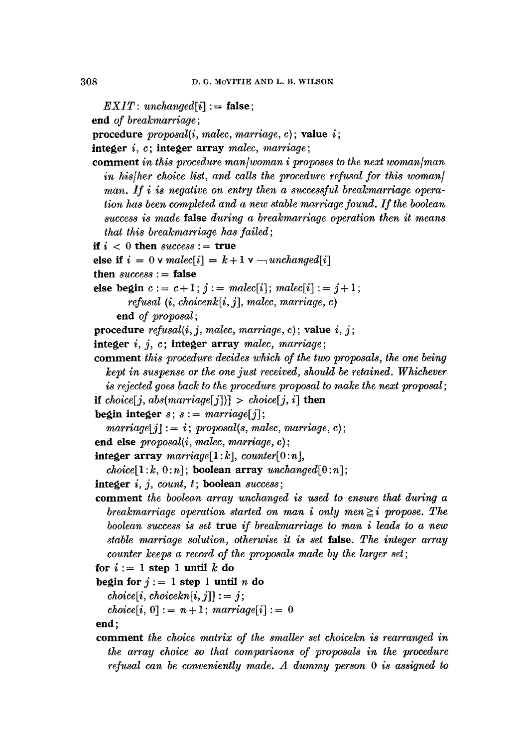$EXIT: unchanged[i] := false;$ 

**end** *of breakmarriage ;* 

procedure *proposal(i, malec, marriage,* c) ; value i;

integer i, c; **integer array** *malec, marriage;* 

- comment *in this procedure man/woman i proposes to the next woman/man in his/her choice list, and calls the procedure refusal for this woman] man. If i is negative on entry then a successful breakmarriage operation has been completed and a new stable marriage found. If the boolean success is made* **false** *during a breakmarriage operation then it means that this breakmarriage has failed;*
- if  $i < 0$  then *success* := true

```
else if i = 0 v \text{malec}[i] = k + 1 v \text{---} unchanged[i]
```

```
then success := false
```
else begin  $c := c + 1$ ;  $j := malec[i]$ ;  $male[i] := j + 1$ ;

```
refusal (i, choicenk[i, j], malec, marriage, c)
```
**end** *of proposal;* 

procedure *refusal(i, j, malec, marriage,* c); value i, j;

- integer i, j, c; integer array *malec, marriage;*
- comment *this procedure decides which of the two proposals, the one being kept in suspense or the one just received, should be retained. Whichever is rejected goes back to the procedure proposal to make the next proposal; if choice*[*j*, *abs(marriage*[*j*])] > *choice*[*j*, *i*] then
- **begin integer**  $s$ ;  $s :=$  marriage[j];

```
marriage[j] := i; proposal(s, malec, marriage, c);
```
- **end** else *proposal(i, malec, marriage,* c);
- integer array *marriage]1* :k], *counter[O:n],*

```
choice[1:k, 0:n]; boolean array unchanged[0:n];
```
- **integer** *i, j, count, t;* **boolean** *success;*
- comment *the boolean array unchanged is used to ensure that during a breakmarriage operation started on man i only men*  $\geq i$  propose. The *boolean success is set* true *if breakmarriage to man i leads to a new stable marriage solution, otherwise it is set* false. *The integer array counter keeps a record of the proposals made by the larger set;*
- for  $i := 1$  step 1 until k do
- **begin for**  $j := 1$  step 1 until *n* do

 $choice[i, choice[k, j]] := j;$ 

 $choice[i, 0] := n + 1; marriage[i] := 0$ 

**end;** 

comment *the choice matrix of the smaller set choicekn is rearranged in the array choice so that comparisons of proposals in the procedure refusal can be conveniently made. A dummy person 0 is assigned to*